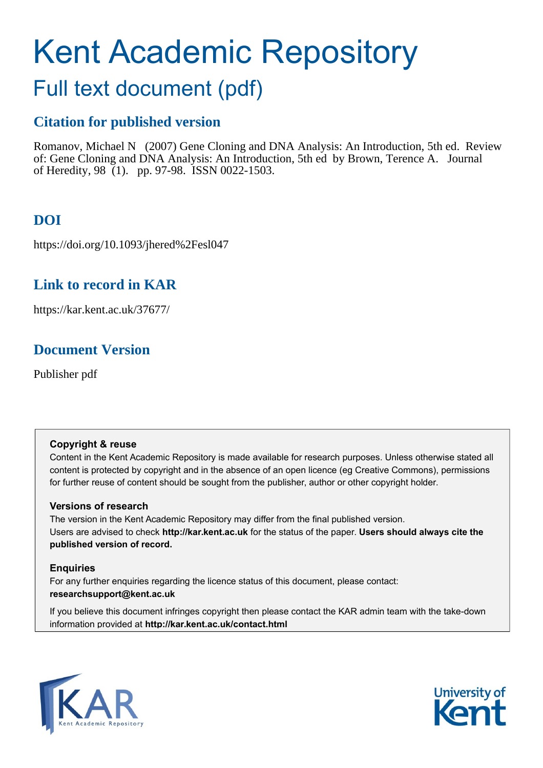# Kent Academic Repository

# Full text document (pdf)

## **Citation for published version**

Romanov, Michael N (2007) Gene Cloning and DNA Analysis: An Introduction, 5th ed. Review of: Gene Cloning and DNA Analysis: An Introduction, 5th ed by Brown, Terence A. Journal of Heredity, 98 (1). pp. 97-98. ISSN 0022-1503.

# **DOI**

https://doi.org/10.1093/jhered%2Fesl047

## **Link to record in KAR**

https://kar.kent.ac.uk/37677/

## **Document Version**

Publisher pdf

#### **Copyright & reuse**

Content in the Kent Academic Repository is made available for research purposes. Unless otherwise stated all content is protected by copyright and in the absence of an open licence (eg Creative Commons), permissions for further reuse of content should be sought from the publisher, author or other copyright holder.

#### **Versions of research**

The version in the Kent Academic Repository may differ from the final published version. Users are advised to check **http://kar.kent.ac.uk** for the status of the paper. **Users should always cite the published version of record.**

#### **Enquiries**

For any further enquiries regarding the licence status of this document, please contact: **researchsupport@kent.ac.uk**

If you believe this document infringes copyright then please contact the KAR admin team with the take-down information provided at **http://kar.kent.ac.uk/contact.html**



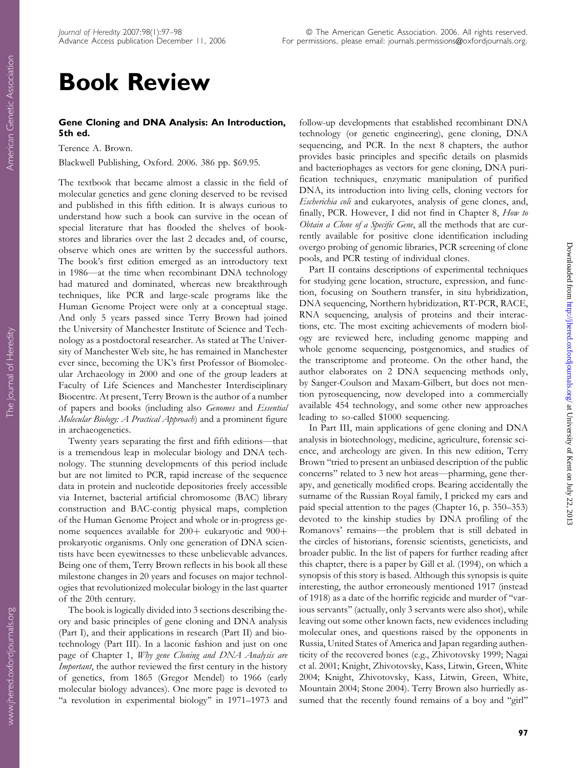# Book Review

#### Gene Cloning and DNA Analysis: An Introduction, 5th ed.

Terence A. Brown.

Blackwell Publishing, Oxford. 2006. 386 pp. \$69.95.

The textbook that became almost a classic in the field of molecular genetics and gene cloning deserved to be revised and published in this fifth edition. It is always curious to understand how such a book can survive in the ocean of special literature that has flooded the shelves of bookstores and libraries over the last 2 decades and, of course, observe which ones are written by the successful authors. The book's first edition emerged as an introductory text in 1986—at the time when recombinant DNA technology had matured and dominated, whereas new breakthrough techniques, like PCR and large-scale programs like the Human Genome Project were only at a conceptual stage. And only 5 years passed since Terry Brown had joined the University of Manchester Institute of Science and Technology as a postdoctoral researcher. As stated at The University of Manchester Web site, he has remained in Manchester ever since, becoming the UK's first Professor of Biomolecular Archaeology in 2000 and one of the group leaders at Faculty of Life Sciences and Manchester Interdisciplinary Biocentre. At present, Terry Brown is the author of a number of papers and books (including also Genomes and Essential Molecular Biology: A Practical Approach) and a prominent figure in archaeogenetics.

Twenty years separating the first and fifth editions—that is a tremendous leap in molecular biology and DNA technology. The stunning developments of this period include but are not limited to PCR, rapid increase of the sequence data in protein and nucleotide depositories freely accessible via Internet, bacterial artificial chromosome (BAC) library construction and BAC-contig physical maps, completion of the Human Genome Project and whole or in-progress genome sequences available for  $200+$  eukaryotic and  $900+$ prokaryotic organisms. Only one generation of DNA scientists have been eyewitnesses to these unbelievable advances. Being one of them, Terry Brown reflects in his book all these milestone changes in 20 years and focuses on major technologies that revolutionized molecular biology in the last quarter of the 20th century.

The book is logically divided into 3 sections describing theory and basic principles of gene cloning and DNA analysis (Part I), and their applications in research (Part II) and biotechnology (Part III). In a laconic fashion and just on one page of Chapter 1, Why gene Cloning and DNA Analysis are Important, the author reviewed the first century in the history of genetics, from 1865 (Gregor Mendel) to 1966 (early molecular biology advances). One more page is devoted to "a revolution in experimental biology" in 1971–1973 and follow-up developments that established recombinant DNA technology (or genetic engineering), gene cloning, DNA sequencing, and PCR. In the next 8 chapters, the author provides basic principles and specific details on plasmids and bacteriophages as vectors for gene cloning, DNA purification techniques, enzymatic manipulation of purified DNA, its introduction into living cells, cloning vectors for Escherichia coli and eukaryotes, analysis of gene clones, and, finally, PCR. However, I did not find in Chapter 8, How to Obtain a Clone of a Specific Gene, all the methods that are currently available for positive clone identification including overgo probing of genomic libraries, PCR screening of clone pools, and PCR testing of individual clones.

Part II contains descriptions of experimental techniques for studying gene location, structure, expression, and function, focusing on Southern transfer, in situ hybridization, DNA sequencing, Northern hybridization, RT-PCR, RACE, RNA sequencing, analysis of proteins and their interactions, etc. The most exciting achievements of modern biology are reviewed here, including genome mapping and whole genome sequencing, postgenomics, and studies of the transcriptome and proteome. On the other hand, the author elaborates on 2 DNA sequencing methods only, by Sanger-Coulson and Maxam-Gilbert, but does not mention pyrosequencing, now developed into a commercially available 454 technology, and some other new approaches leading to so-called \$1000 sequencing.

In Part III, main applications of gene cloning and DNA analysis in biotechnology, medicine, agriculture, forensic science, and archeology are given. In this new edition, Terry Brown ''tried to present an unbiased description of the public concerns'' related to 3 new hot areas—pharming, gene therapy, and genetically modified crops. Bearing accidentally the surname of the Russian Royal family, I pricked my ears and paid special attention to the pages (Chapter 16, p. 350–353) devoted to the kinship studies by DNA profiling of the Romanovs' remains—the problem that is still debated in the circles of historians, forensic scientists, geneticists, and broader public. In the list of papers for further reading after this chapter, there is a paper by Gill et al. (1994), on which a synopsis of this story is based. Although this synopsis is quite interesting, the author erroneously mentioned 1917 (instead of 1918) as a date of the horrific regicide and murder of ''various servants'' (actually, only 3 servants were also shot), while leaving out some other known facts, new evidences including molecular ones, and questions raised by the opponents in Russia, United States of America and Japan regarding authenticity of the recovered bones (e.g., Zhivotovsky 1999; Nagai et al. 2001; Knight, Zhivotovsky, Kass, Litwin, Green, White 2004; Knight, Zhivotovsky, Kass, Litwin, Green, White, Mountain 2004; Stone 2004). Terry Brown also hurriedly assumed that the recently found remains of a boy and "girl"

www.jhered.oxfordjournals.org